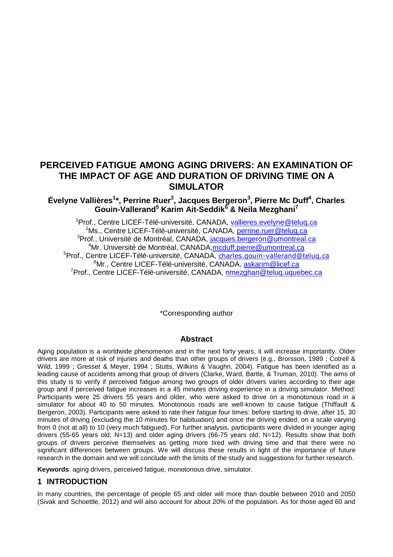# **PERCEIVED FATIGUE AMONG AGING DRIVERS: AN EXAMINATION OF THE IMPACT OF AGE AND DURATION OF DRIVING TIME ON A SIMULATOR**

## **Évelyne Vallières<sup>1</sup> \*, Perrine Ruer<sup>2</sup> , Jacques Bergeron<sup>3</sup> , Pierre Mc Duff<sup>4</sup> , Charles Gouin-Vallerand<sup>5</sup> Karim Ait-Seddik<sup>6</sup> & Neila Mezghani<sup>7</sup>**

<sup>1</sup>Prof., Centre LICEF-Télé-université, CANADA, [vallieres.evelyne@teluq.ca](mailto:vallieres.evelyne@teluq.ca) <sup>2</sup>Ms., Centre LICEF-Télé-université, CANADA, [perrine.ruer@teluq.ca](mailto:perrine.ruer@teluq.ca) <sup>3</sup>Prof., Université de Montréal, CANADA, [jacques.bergeron@umontreal.ca](mailto:jacques.bergeron@umontreal.ca) <sup>4</sup>Mr. Université de Montréal, CANADA, mcduff.pierre@umontreal.ca <sup>5</sup>Prof., Centre LICEF-Télé-université, CANADA, [charles.gouin-vallerand@teluq.ca](mailto:charles.gouin-vallerand@teluq.ca) <sup>6</sup>Mr., Centre LICEF-Télé-université, CANADA, [askarim@licef.ca](mailto:askarim@licef.ca) <sup>7</sup>Prof., Centre LICEF-Télé-université, CANADA, [nmezghan@teluq.uquebec.ca](mailto:nmezghan@teluq.uquebec.ca)

\*Corresponding author

### **Abstract**

Aging population is a worldwide phenomenon and in the next forty years, it will increase importantly. Older drivers are more at risk of injuries and deaths than other groups of drivers (e.g., Brorsson, 1989 ; Cotrell & Wild, 1999 ; Gresset & Meyer, 1994 ; Stutts, Wilkins & Vaughn, 2004). Fatigue has been identified as a leading cause of accidents among that group of drivers (Clarke, Ward, Bartle, & Truman, 2010). The aims of this study is to verify if perceived fatigue among two groups of older drivers varies according to their age group and if perceived fatigue increases in a 45 minutes driving experience in a driving simulator. Method: Participants were 25 drivers 55 years and older, who were asked to drive on a monotonous road in a simulator for about 40 to 50 minutes. Monotonous roads are well-known to cause fatigue (Thiffault & Bergeron, 2003). Participants were asked to rate their fatigue four times: before starting to drive, after 15, 30 minutes of driving (excluding the 10 minutes for habituation) and once the driving ended, on a scale varying from 0 (not at all) to 10 (very much fatigued). For further analysis, participants were divided in younger aging drivers (55-65 years old; N=13) and older aging drivers (66-75 years old; N=12). Results show that both groups of drivers perceive themselves as getting more tired with driving time and that there were no significant differences between groups. We will discuss these results in light of the importance of future research in the domain and we will conclude with the limits of the study and suggestions for further research.

**Keywords**: aging drivers, perceived fatigue, monotonous drive, simulator.

### **1 INTRODUCTION**

In many countries, the percentage of people 65 and older will more than double between 2010 and 2050 (Sivak and Schoettle, 2012) and will also account for about 20% of the population. As for those aged 60 and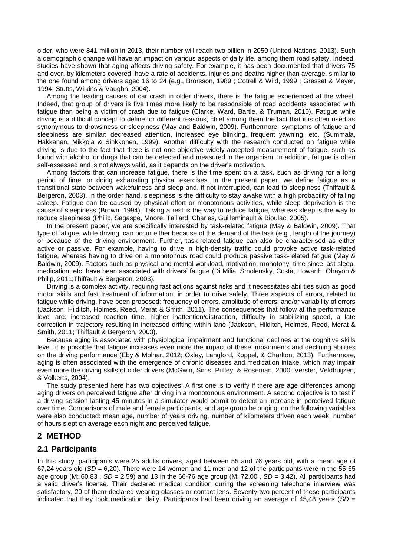older, who were 841 million in 2013, their number will reach two billion in 2050 (United Nations, 2013). Such a demographic change will have an impact on various aspects of daily life, among them road safety. Indeed, studies have shown that aging affects driving safety. For example, it has been documented that drivers 75 and over, by kilometers covered, have a rate of accidents, injuries and deaths higher than average, similar to the one found among drivers aged 16 to 24 (e.g., Brorsson, 1989 ; Cotrell & Wild, 1999 ; Gresset & Meyer, 1994; Stutts, Wilkins & Vaughn, 2004).

Among the leading causes of car crash in older drivers, there is the fatigue experienced at the wheel. Indeed, that group of drivers is five times more likely to be responsible of road accidents associated with fatigue than being a victim of crash due to fatigue (Clarke, Ward, Bartle, & Truman, 2010). Fatigue while driving is a difficult concept to define for different reasons, chief among them the fact that it is often used as synonymous to drowsiness or sleepiness (May and Baldwin, 2009). Furthermore, symptoms of fatigue and sleepiness are similar: decreased attention, increased eye blinking, frequent yawning, etc. (Summala, Hakkanen, Mikkola & Sinkkonen, 1999). Another difficulty with the research conducted on fatigue while driving is due to the fact that there is not one objective widely accepted measurement of fatigue, such as found with alcohol or drugs that can be detected and measured in the organism. In addition, fatigue is often self-assessed and is not always valid, as it depends on the driver's motivation.

Among factors that can increase fatigue, there is the time spent on a task, such as driving for a long period of time, or doing exhausting physical exercises. In the present paper, we define fatigue as a transitional state between wakefulness and sleep and, if not interrupted, can lead to sleepiness (Thiffault & Bergeron, 2003). In the order hand, sleepiness is the difficulty to stay awake with a high probability of falling asleep. Fatigue can be caused by physical effort or monotonous activities, while sleep deprivation is the cause of sleepiness (Brown, 1994). Taking a rest is the way to reduce fatigue, whereas sleep is the way to reduce sleepiness (Philip, Sagaspe, Moore, Taillard, Charles, Guilleminault & Bioulac, 2005).

In the present paper, we are specifically interested by task-related fatigue (May & Baldwin, 2009). That type of fatigue, while driving, can occur either because of the demand of the task (e.g., length of the journey) or because of the driving environment. Further, task-related fatigue can also be characterised as either active or passive. For example, having to drive in high-density traffic could provoke active task-related fatigue, whereas having to drive on a monotonous road could produce passive task-related fatigue (May & Baldwin, 2009). Factors such as physical and mental workload, motivation, monotony, time since last sleep, medication, etc. have been associated with drivers' fatigue (Di Milia, Smolensky, Costa, Howarth, Ohayon & Philip, 2011;Thiffault & Bergeron, 2003).

Driving is a complex activity, requiring fast actions against risks and it necessitates abilities such as good motor skills and fast treatment of information, in order to drive safely. Three aspects of errors, related to fatigue while driving, have been proposed: frequency of errors, amplitude of errors, and/or variability of errors (Jackson, Hilditch, Holmes, Reed, Merat & Smith, 2011)*.* The consequences that follow at the performance level are: increased reaction time, higher inattention/distraction, difficulty in stabilizing speed, a late correction in trajectory resulting in increased drifting within lane (Jackson, Hilditch, Holmes, Reed, Merat & Smith, 2011; Thiffault & Bergeron, 2003).

Because aging is associated with physiological impairment and functional declines at the cognitive skills level, it is possible that fatigue increases even more the impact of these impairments and declining abilities on the driving performance (Eby & Molnar, 2012; Oxley, Langford, Koppel, & Charlton, 2013). Furthermore, aging is often associated with the emergence of chronic diseases and medication intake, which may impair even more the driving skills of older drivers (McGwin, Sims, Pulley, & Roseman, 2000; Verster, Veldhuijzen, & Volkerts, 2004).

The study presented here has two objectives: A first one is to verify if there are age differences among aging drivers on perceived fatigue after driving in a monotonous environment. A second objective is to test if a driving session lasting 45 minutes in a simulator would permit to detect an increase in perceived fatigue over time. Comparisons of male and female participants, and age group belonging, on the following variables were also conducted: mean age, number of years driving, number of kilometers driven each week, number of hours slept on average each night and perceived fatigue.

### **2 METHOD**

### **2.1 Participants**

In this study, participants were 25 adults drivers, aged between 55 and 76 years old, with a mean age of 67,24 years old  $(SD = 6,20)$ . There were 14 women and 11 men and 12 of the participants were in the 55-65 age group (M: 60,83 , *SD* = 2,59) and 13 in the 66-76 age group (M: 72,00 , *SD* = 3,42). All participants had a valid driver's license. Their declared medical condition during the screening telephone interview was satisfactory, 20 of them declared wearing glasses or contact lens. Seventy-two percent of these participants indicated that they took medication daily. Participants had been driving an average of 45,48 years (*SD* =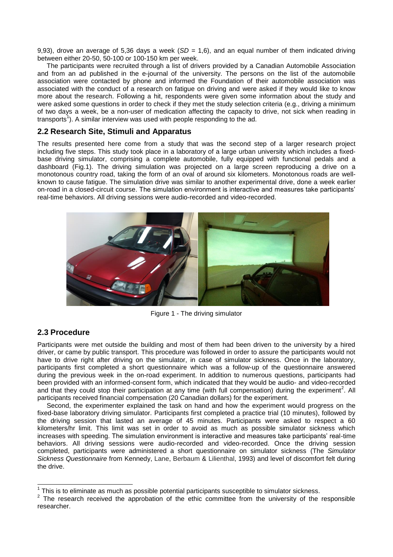9,93), drove an average of 5,36 days a week (*SD* = 1,6), and an equal number of them indicated driving between either 20-50, 50-100 or 100-150 km per week.

The participants were recruited through a list of drivers provided by a Canadian Automobile Association and from an ad published in the e-journal of the university. The persons on the list of the automobile association were contacted by phone and informed the Foundation of their automobile association was associated with the conduct of a research on fatigue on driving and were asked if they would like to know more about the research. Following a hit, respondents were given some information about the study and were asked some questions in order to check if they met the study selection criteria (e.g., driving a minimum of two days a week, be a non-user of medication affecting the capacity to drive, not sick when reading in transports<sup>1</sup>). A similar interview was used with people responding to the ad.

#### **2.2 Research Site, Stimuli and Apparatus**

The results presented here come from a study that was the second step of a larger research project including five steps. This study took place in a laboratory of a large urban university which includes a fixedbase driving simulator, comprising a complete automobile, fully equipped with functional pedals and a dashboard (Fig.1). The driving simulation was projected on a large screen reproducing a drive on a monotonous country road, taking the form of an oval of around six kilometers. Monotonous roads are wellknown to cause fatigue. The simulation drive was similar to another experimental drive, done a week earlier on-road in a closed-circuit course. The simulation environment is interactive and measures take participants' real-time behaviors. All driving sessions were audio-recorded and video-recorded.



Figure 1 - The driving simulator

### **2.3 Procedure**

Participants were met outside the building and most of them had been driven to the university by a hired driver, or came by public transport. This procedure was followed in order to assure the participants would not have to drive right after driving on the simulator, in case of simulator sickness. Once in the laboratory, participants first completed a short questionnaire which was a follow-up of the questionnaire answered during the previous week in the on-road experiment. In addition to numerous questions, participants had been provided with an informed-consent form, which indicated that they would be audio- and video-recorded and that they could stop their participation at any time (with full compensation) during the experiment<sup>2</sup>. All participants received financial compensation (20 Canadian dollars) for the experiment.

Second, the experimenter explained the task on hand and how the experiment would progress on the fixed-base laboratory driving simulator. Participants first completed a practice trial (10 minutes), followed by the driving session that lasted an average of 45 minutes. Participants were asked to respect a 60 kilometers/hr limit. This limit was set in order to avoid as much as possible simulator sickness which increases with speeding. The simulation environment is interactive and measures take participants' real-time behaviors. All driving sessions were audio-recorded and video-recorded. Once the driving session completed, participants were administered a short questionnaire on simulator sickness (The *Simulator Sickness Questionnaire* from Kennedy, Lane, Berbaum & Lilienthal, 1993) and level of discomfort felt during the drive.

<sup>————————————————————&</sup>lt;br><sup>1</sup> This is to eliminate as much as possible potential participants susceptible to simulator sickness.

 $2$  The research received the approbation of the ethic committee from the university of the responsible researcher.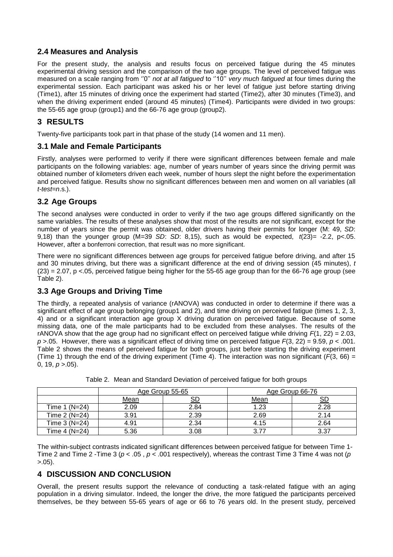### **2.4 Measures and Analysis**

For the present study, the analysis and results focus on perceived fatigue during the 45 minutes experimental driving session and the comparison of the two age groups. The level of perceived fatigue was measured on a scale ranging from ''0'' *not at all fatigued* to ''10'' *very much fatigued* at four times during the experimental session. Each participant was asked his or her level of fatigue just before starting driving (Time1), after 15 minutes of driving once the experiment had started (Time2), after 30 minutes (Time3), and when the driving experiment ended (around 45 minutes) (Time4). Participants were divided in two groups: the 55-65 age group (group1) and the 66-76 age group (group2).

# **3 RESULTS**

Twenty-five participants took part in that phase of the study (14 women and 11 men).

### **3.1 Male and Female Participants**

Firstly, analyses were performed to verify if there were significant differences between female and male participants on the following variables: age, number of years number of years since the driving permit was obtained number of kilometers driven each week, number of hours slept the night before the experimentation and perceived fatigue. Results show no significant differences between men and women on all variables (all *t-test=n*.s.).

# **3.2 Age Groups**

The second analyses were conducted in order to verify if the two age groups differed significantly on the same variables. The results of these analyses show that most of the results are not significant, except for the number of years since the permit was obtained, older drivers having their permits for longer (M: 49, *SD*: 9,18) than the younger group (M=39 *SD*: *SD*: 8,15), such as would be expected, *t*(23)= -2.2, p<.05. However, after a bonferroni correction, that result was no more significant.

There were no significant differences between age groups for perceived fatigue before driving, and after 15 and 30 minutes driving, but there was a significant difference at the end of driving session (45 minutes), *t*  (23) = 2.07, p <.05, perceived fatigue being higher for the 55-65 age group than for the 66-76 age group (see Table 2).

### **3.3 Age Groups and Driving Time**

The thirdly, a repeated analysis of variance (rANOVA) was conducted in order to determine if there was a significant effect of age group belonging (group1 and 2), and time driving on perceived fatigue (times 1, 2, 3, 4) and or a significant interaction age group X driving duration on perceived fatigue. Because of some missing data, one of the male participants had to be excluded from these analyses. The results of the rANOVA show that the age group had no significant effect on perceived fatigue while driving  $F(1, 22) = 2.03$ , *p* >.05. However, there was a significant effect of driving time on perceived fatigue *F*(3, 22) = 9.59, *p* < .001. Table 2 shows the means of perceived fatigue for both groups, just before starting the driving experiment (Time 1) through the end of the driving experiment (Time 4). The interaction was non significant  $(F(3, 66) =$ 0, 19, *p* >.05).

|                | Age Group 55-65 |      | Age Group 66-76 |      |  |
|----------------|-----------------|------|-----------------|------|--|
|                | <u>Mean</u>     |      | <u>Mean</u>     |      |  |
| Time 1 (N=24)  | 2.09            | 2.84 | 1.23            | 2.28 |  |
| Time 2 (N=24)  | 3.91            | 2.39 | 2.69            | 2.14 |  |
| Time $3(N=24)$ | 4.91            | 2.34 | 4.15            | 2.64 |  |
| Time 4 (N=24)  | 5.36            | 3.08 | 3.77            | 3.37 |  |

|  |  |  | Table 2. Mean and Standard Deviation of perceived fatigue for both groups |
|--|--|--|---------------------------------------------------------------------------|
|  |  |  |                                                                           |

The within-subject contrasts indicated significant differences between perceived fatigue for between Time 1- Time 2 and Time 2 -Time 3 ( $p < .05$ ,  $p < .001$  respectively), whereas the contrast Time 3 Time 4 was not (p >.05).

### **4 DISCUSSION AND CONCLUSION**

Overall, the present results support the relevance of conducting a task-related fatigue with an aging population in a driving simulator. Indeed, the longer the drive, the more fatigued the participants perceived themselves, be they between 55-65 years of age or 66 to 76 years old. In the present study, perceived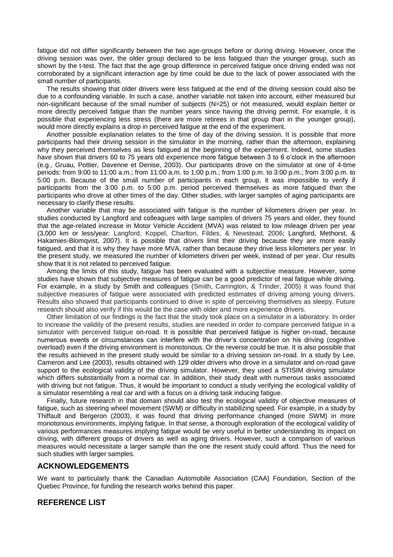fatigue did not differ significantly between the two age-groups before or during driving. However, once the driving session was over, the older group declared to be less fatigued than the younger group, such as shown by the t-test. The fact that the age group difference in perceived fatigue once driving ended was not corroborated by a significant interaction age by time could be due to the lack of power associated with the small number of participants.

The results showing that older drivers were less fatigued at the end of the driving session could also be due to a confounding variable. In such a case, another variable not taken into account, either measured but non-significant because of the small number of subjects (N=25) or not measured, would explain better or more directly perceived fatigue than the number years since having the driving permit. For example, it is possible that experiencing less stress (there are more retirees in that group than in the younger group), would more directly explains a drop in perceived fatigue at the end of the experiment.

Another possible explanation relates to the time of day of the driving session. It is possible that more participants had their driving session in the simulator in the morning, rather than the afternoon, explaining why they perceived themselves as less fatigued at the beginning of the experiment. Indeed, some studies have shown that drivers 60 to 75 years old experience more fatigue between 3 to 6 o'clock in the afternoon (e.g., Gruau, Pottier, Davenne et Denise, 2003). Our participants drove on the simulator at one of 4-time periods: from 9:00 to 11:00 a.m.; from 11:00 a.m. to 1:00 p.m.; from 1:00 p.m. to 3:00 p.m.; from 3:00 p.m. to 5:00 p.m. Because of the small number of participants in each group, it was impossible to verify if participants from the 3:00 p.m. to 5:00 p.m. period perceived themselves as more fatigued than the participants who drove at other times of the day. Other studies, with larger samples of aging participants are necessary to clarify these results.

Another variable that may be associated with fatigue is the number of kilometers driven per year. In studies conducted by Langford and colleagues with large samples of drivers 75 years and older, they found that the age-related increase in Motor Vehicle Accident (MVA) was related to low mileage driven per year (3,000 km or less/year: Langford, Koppel, Charlton, Fildes, & Newstead, 2006; Langford, Methorst, & Hakamies-Blomqvist, 2007). It is possible that drivers limit their driving because they are more easily fatigued, and that it is why they have more MVA, rather than because they drive less kilometers per year. In the present study, we measured the number of kilometers driven per week, instead of per year. Our results show that it is not related to perceived fatigue.

Among the limits of this study, fatigue has been evaluated with a subjective measure. However, some studies have shown that subjective measures of fatigue can be a good predictor of real fatigue while driving. For example, in a study by Smith and colleagues (Smith, Carrington, & Trinder, 2005) it was found that subjective measures of fatigue were associated with predicted estimates of driving among young drivers. Results also showed that participants continued to drive in spite of perceiving themselves as sleepy. Future research should also verify if this would be the case with older and more experience drivers.

Other limitation of our findings is the fact that the study took place on a simulator in a laboratory. In order to increase the validity of the present results, studies are needed in order to compare perceived fatigue in a simulator with perceived fatigue on-road. It is possible that perceived fatigue is higher on-road, because numerous events or circumstances can interfere with the driver's concentration on his driving (cognitive overload) even if the driving environment is monotonous. Or the reverse could be true. It is also possible that the results achieved in the present study would be similar to a driving session on-road. In a study by Lee, Cameron and Lee (2003), results obtained with 129 older drivers who drove in a simulator and on-road gave support to the ecological validity of the driving simulator. However, they used a STISIM driving simulator which differs substantially from a normal car. In addition, their study dealt with numerous tasks associated with driving but not fatigue. Thus, it would be important to conduct a study verifying the ecological validity of a simulator resembling a real car and with a focus on a driving task inducing fatigue.

Finally, future research in that domain should also test the ecological validity of objective measures of fatigue, such as steering wheel movement (SWM) or difficulty in stabilizing speed. For example, in a study by Thiffault and Bergeron (2003), it was found that driving performance changed (more SWM) in more monotonous environments, implying fatigue. In that sense, a thorough exploration of the ecological validity of various performances measures implying fatigue would be very useful in better understanding its impact on driving, with different groups of drivers as well as aging drivers. However, such a comparison of various measures would necessitate a larger sample than the one the resent study could afford. Thus the need for such studies with larger samples.

#### **ACKNOWLEDGEMENTS**

We want to particularly thank the Canadian Automobile Association (CAA) Foundation, Section of the Quebec Province, for funding the research works behind this paper.

### **REFERENCE LIST**